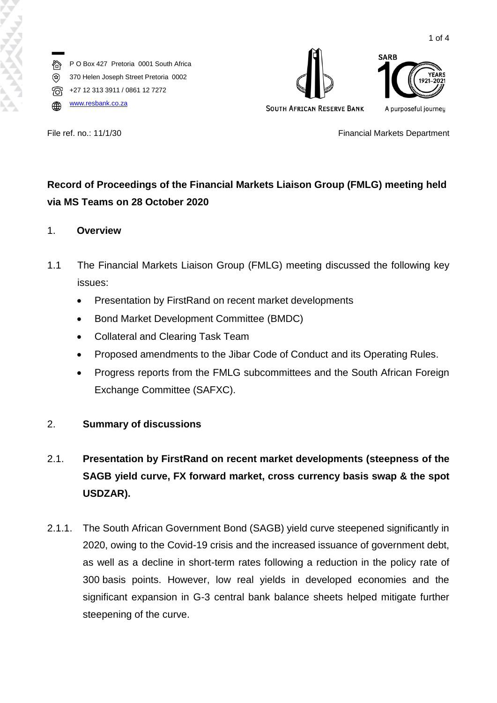

**SOUTH AFRICAN RESERVE BANK** 



File ref. no.: 11/1/30 **Financial Markets Department** 

# **Record of Proceedings of the Financial Markets Liaison Group (FMLG) meeting held via MS Teams on 28 October 2020**

#### 1. **Overview**

- 1.1 The Financial Markets Liaison Group (FMLG) meeting discussed the following key issues:
	- Presentation by FirstRand on recent market developments
	- Bond Market Development Committee (BMDC)
	- Collateral and Clearing Task Team
	- Proposed amendments to the Jibar Code of Conduct and its Operating Rules.
	- Progress reports from the FMLG subcommittees and the South African Foreign Exchange Committee (SAFXC).

### 2. **Summary of discussions**

# 2.1. **Presentation by FirstRand on recent market developments (steepness of the SAGB yield curve, FX forward market, cross currency basis swap & the spot USDZAR).**

2.1.1. The South African Government Bond (SAGB) yield curve steepened significantly in 2020, owing to the Covid-19 crisis and the increased issuance of government debt, as well as a decline in short-term rates following a reduction in the policy rate of 300 basis points. However, low real yields in developed economies and the significant expansion in G-3 central bank balance sheets helped mitigate further steepening of the curve.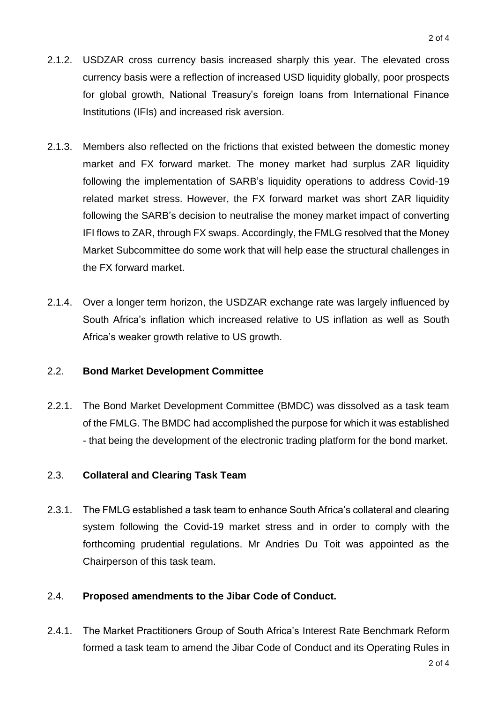- 2.1.2. USDZAR cross currency basis increased sharply this year. The elevated cross currency basis were a reflection of increased USD liquidity globally, poor prospects for global growth, National Treasury's foreign loans from International Finance Institutions (IFIs) and increased risk aversion.
- 2.1.3. Members also reflected on the frictions that existed between the domestic money market and FX forward market. The money market had surplus ZAR liquidity following the implementation of SARB's liquidity operations to address Covid-19 related market stress. However, the FX forward market was short ZAR liquidity following the SARB's decision to neutralise the money market impact of converting IFI flows to ZAR, through FX swaps. Accordingly, the FMLG resolved that the Money Market Subcommittee do some work that will help ease the structural challenges in the FX forward market.
- 2.1.4. Over a longer term horizon, the USDZAR exchange rate was largely influenced by South Africa's inflation which increased relative to US inflation as well as South Africa's weaker growth relative to US growth.

### 2.2. **Bond Market Development Committee**

2.2.1. The Bond Market Development Committee (BMDC) was dissolved as a task team of the FMLG. The BMDC had accomplished the purpose for which it was established - that being the development of the electronic trading platform for the bond market.

### 2.3. **Collateral and Clearing Task Team**

2.3.1. The FMLG established a task team to enhance South Africa's collateral and clearing system following the Covid-19 market stress and in order to comply with the forthcoming prudential regulations. Mr Andries Du Toit was appointed as the Chairperson of this task team.

### 2.4. **Proposed amendments to the Jibar Code of Conduct.**

2.4.1. The Market Practitioners Group of South Africa's Interest Rate Benchmark Reform formed a task team to amend the Jibar Code of Conduct and its Operating Rules in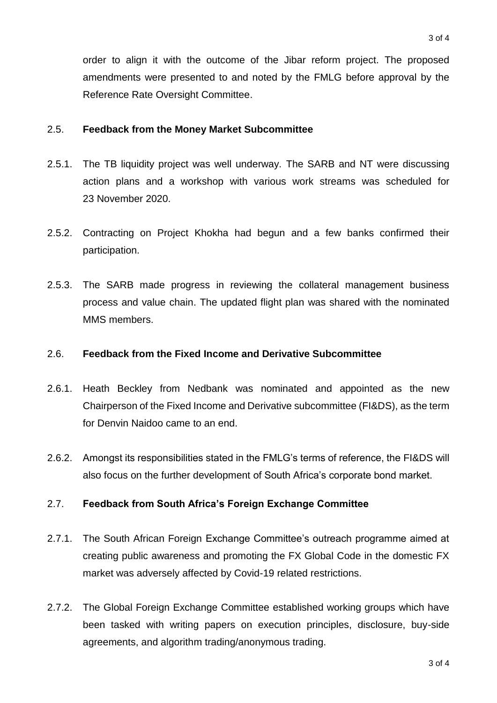order to align it with the outcome of the Jibar reform project. The proposed amendments were presented to and noted by the FMLG before approval by the Reference Rate Oversight Committee.

#### 2.5. **Feedback from the Money Market Subcommittee**

- 2.5.1. The TB liquidity project was well underway. The SARB and NT were discussing action plans and a workshop with various work streams was scheduled for 23 November 2020.
- 2.5.2. Contracting on Project Khokha had begun and a few banks confirmed their participation.
- 2.5.3. The SARB made progress in reviewing the collateral management business process and value chain. The updated flight plan was shared with the nominated MMS members.

#### 2.6. **Feedback from the Fixed Income and Derivative Subcommittee**

- 2.6.1. Heath Beckley from Nedbank was nominated and appointed as the new Chairperson of the Fixed Income and Derivative subcommittee (FI&DS), as the term for Denvin Naidoo came to an end.
- 2.6.2. Amongst its responsibilities stated in the FMLG's terms of reference, the FI&DS will also focus on the further development of South Africa's corporate bond market.

### 2.7. **Feedback from South Africa's Foreign Exchange Committee**

- 2.7.1. The South African Foreign Exchange Committee's outreach programme aimed at creating public awareness and promoting the FX Global Code in the domestic FX market was adversely affected by Covid-19 related restrictions.
- 2.7.2. The Global Foreign Exchange Committee established working groups which have been tasked with writing papers on execution principles, disclosure, buy-side agreements, and algorithm trading/anonymous trading.